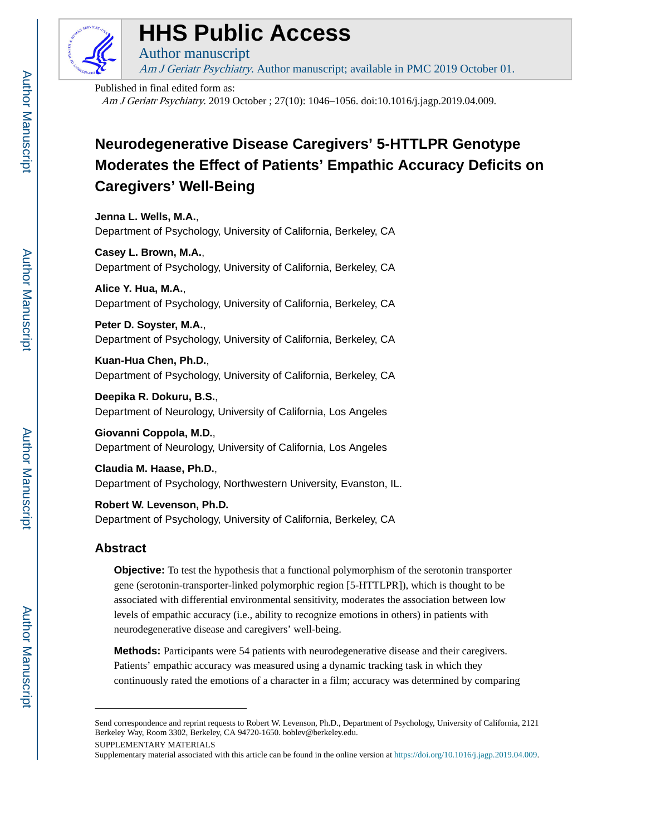

# **HHS Public Access**

Author manuscript

Am J Geriatr Psychiatry. Author manuscript; available in PMC 2019 October 01.

Published in final edited form as: Am J Geriatr Psychiatry. 2019 October ; 27(10): 1046–1056. doi:10.1016/j.jagp.2019.04.009.

# **Neurodegenerative Disease Caregivers' 5-HTTLPR Genotype Moderates the Effect of Patients' Empathic Accuracy Deficits on Caregivers' Well-Being**

**Jenna L. Wells, M.A.**, Department of Psychology, University of California, Berkeley, CA

**Casey L. Brown, M.A.**, Department of Psychology, University of California, Berkeley, CA

**Alice Y. Hua, M.A.**, Department of Psychology, University of California, Berkeley, CA

**Peter D. Soyster, M.A.**, Department of Psychology, University of California, Berkeley, CA

**Kuan-Hua Chen, Ph.D.**, Department of Psychology, University of California, Berkeley, CA

**Deepika R. Dokuru, B.S.**, Department of Neurology, University of California, Los Angeles

**Giovanni Coppola, M.D.**, Department of Neurology, University of California, Los Angeles

**Claudia M. Haase, Ph.D.**, Department of Psychology, Northwestern University, Evanston, IL.

**Robert W. Levenson, Ph.D.** Department of Psychology, University of California, Berkeley, CA

# **Abstract**

**Objective:** To test the hypothesis that a functional polymorphism of the serotonin transporter gene (serotonin-transporter-linked polymorphic region [5-HTTLPR]), which is thought to be associated with differential environmental sensitivity, moderates the association between low levels of empathic accuracy (i.e., ability to recognize emotions in others) in patients with neurodegenerative disease and caregivers' well-being.

**Methods:** Participants were 54 patients with neurodegenerative disease and their caregivers. Patients' empathic accuracy was measured using a dynamic tracking task in which they continuously rated the emotions of a character in a film; accuracy was determined by comparing

Send correspondence and reprint requests to Robert W. Levenson, Ph.D., Department of Psychology, University of California, 2121 Berkeley Way, Room 3302, Berkeley, CA 94720-1650. boblev@berkeley.edu.

SUPPLEMENTARY MATERIALS

Supplementary material associated with this article can be found in the online version at <https://doi.org/10.1016/j.jagp.2019.04.009>.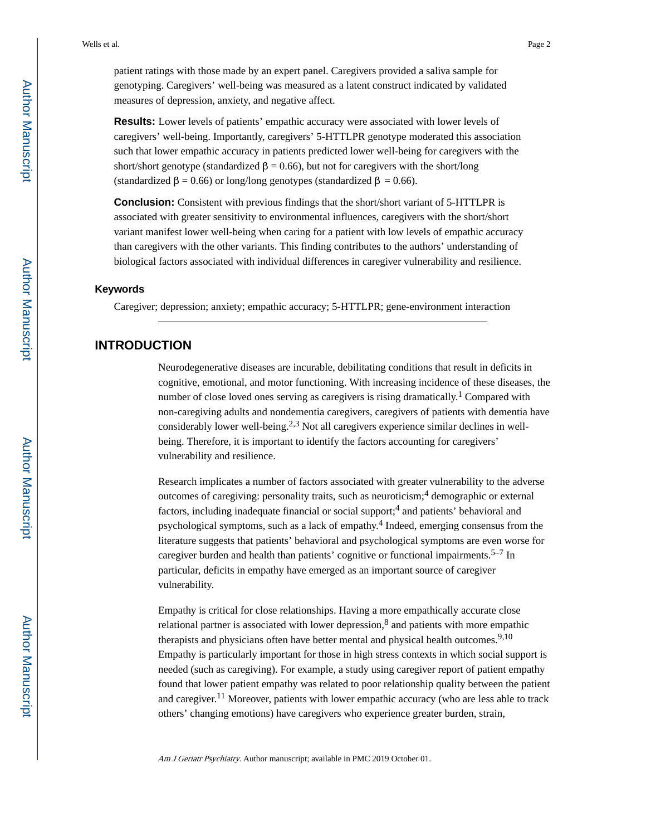patient ratings with those made by an expert panel. Caregivers provided a saliva sample for genotyping. Caregivers' well-being was measured as a latent construct indicated by validated measures of depression, anxiety, and negative affect.

**Results:** Lower levels of patients' empathic accuracy were associated with lower levels of caregivers' well-being. Importantly, caregivers' 5-HTTLPR genotype moderated this association such that lower empathic accuracy in patients predicted lower well-being for caregivers with the short/short genotype (standardized  $\beta = 0.66$ ), but not for caregivers with the short/long (standardized  $\beta = 0.66$ ) or long/long genotypes (standardized  $\beta = 0.66$ ).

**Conclusion:** Consistent with previous findings that the short/short variant of 5-HTTLPR is associated with greater sensitivity to environmental influences, caregivers with the short/short variant manifest lower well-being when caring for a patient with low levels of empathic accuracy than caregivers with the other variants. This finding contributes to the authors' understanding of biological factors associated with individual differences in caregiver vulnerability and resilience.

#### **Keywords**

Caregiver; depression; anxiety; empathic accuracy; 5-HTTLPR; gene-environment interaction

# **INTRODUCTION**

Neurodegenerative diseases are incurable, debilitating conditions that result in deficits in cognitive, emotional, and motor functioning. With increasing incidence of these diseases, the number of close loved ones serving as caregivers is rising dramatically.<sup>1</sup> Compared with non-caregiving adults and nondementia caregivers, caregivers of patients with dementia have considerably lower well-being.<sup>2,3</sup> Not all caregivers experience similar declines in wellbeing. Therefore, it is important to identify the factors accounting for caregivers' vulnerability and resilience.

Research implicates a number of factors associated with greater vulnerability to the adverse outcomes of caregiving: personality traits, such as neuroticism;<sup>4</sup> demographic or external factors, including inadequate financial or social support;<sup>4</sup> and patients' behavioral and psychological symptoms, such as a lack of empathy.<sup>4</sup> Indeed, emerging consensus from the literature suggests that patients' behavioral and psychological symptoms are even worse for caregiver burden and health than patients' cognitive or functional impairments.<sup>5–7</sup> In particular, deficits in empathy have emerged as an important source of caregiver vulnerability.

Empathy is critical for close relationships. Having a more empathically accurate close relational partner is associated with lower depression, $8$  and patients with more empathic therapists and physicians often have better mental and physical health outcomes.<sup>9,10</sup> Empathy is particularly important for those in high stress contexts in which social support is needed (such as caregiving). For example, a study using caregiver report of patient empathy found that lower patient empathy was related to poor relationship quality between the patient and caregiver.<sup>11</sup> Moreover, patients with lower empathic accuracy (who are less able to track others' changing emotions) have caregivers who experience greater burden, strain,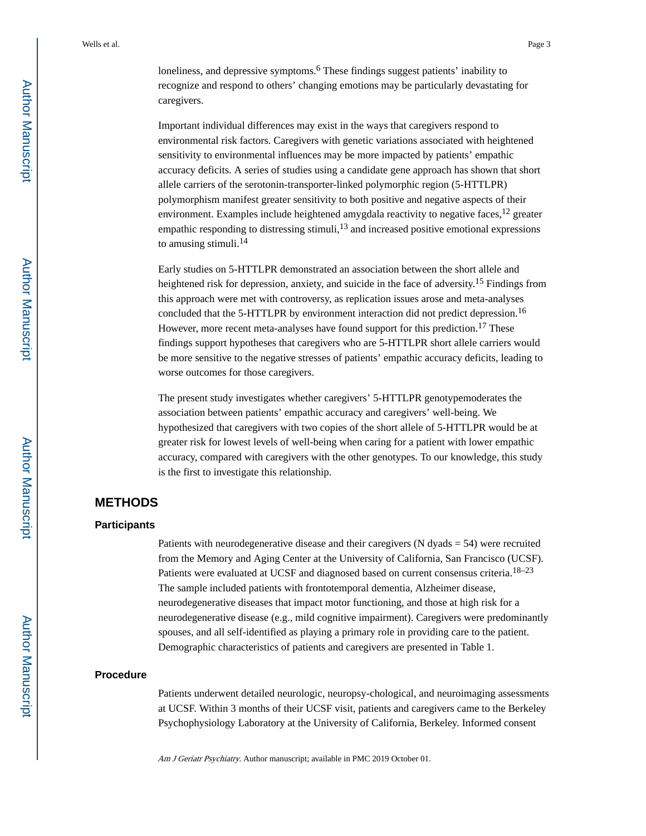loneliness, and depressive symptoms.<sup>6</sup> These findings suggest patients' inability to recognize and respond to others' changing emotions may be particularly devastating for caregivers.

Important individual differences may exist in the ways that caregivers respond to environmental risk factors. Caregivers with genetic variations associated with heightened sensitivity to environmental influences may be more impacted by patients' empathic accuracy deficits. A series of studies using a candidate gene approach has shown that short allele carriers of the serotonin-transporter-linked polymorphic region (5-HTTLPR) polymorphism manifest greater sensitivity to both positive and negative aspects of their environment. Examples include heightened amygdala reactivity to negative faces,  $12$  greater empathic responding to distressing stimuli, $13$  and increased positive emotional expressions to amusing stimuli.<sup>14</sup>

Early studies on 5-HTTLPR demonstrated an association between the short allele and heightened risk for depression, anxiety, and suicide in the face of adversity.<sup>15</sup> Findings from this approach were met with controversy, as replication issues arose and meta-analyses concluded that the 5-HTTLPR by environment interaction did not predict depression.<sup>16</sup> However, more recent meta-analyses have found support for this prediction.<sup>17</sup> These findings support hypotheses that caregivers who are 5-HTTLPR short allele carriers would be more sensitive to the negative stresses of patients' empathic accuracy deficits, leading to worse outcomes for those caregivers.

The present study investigates whether caregivers' 5-HTTLPR genotypemoderates the association between patients' empathic accuracy and caregivers' well-being. We hypothesized that caregivers with two copies of the short allele of 5-HTTLPR would be at greater risk for lowest levels of well-being when caring for a patient with lower empathic accuracy, compared with caregivers with the other genotypes. To our knowledge, this study is the first to investigate this relationship.

# **METHODS**

#### **Participants**

Patients with neurodegenerative disease and their caregivers (N dyads = 54) were recruited from the Memory and Aging Center at the University of California, San Francisco (UCSF). Patients were evaluated at UCSF and diagnosed based on current consensus criteria.<sup>18–23</sup> The sample included patients with frontotemporal dementia, Alzheimer disease, neurodegenerative diseases that impact motor functioning, and those at high risk for a neurodegenerative disease (e.g., mild cognitive impairment). Caregivers were predominantly spouses, and all self-identified as playing a primary role in providing care to the patient. Demographic characteristics of patients and caregivers are presented in Table 1.

#### **Procedure**

Patients underwent detailed neurologic, neuropsy-chological, and neuroimaging assessments at UCSF. Within 3 months of their UCSF visit, patients and caregivers came to the Berkeley Psychophysiology Laboratory at the University of California, Berkeley. Informed consent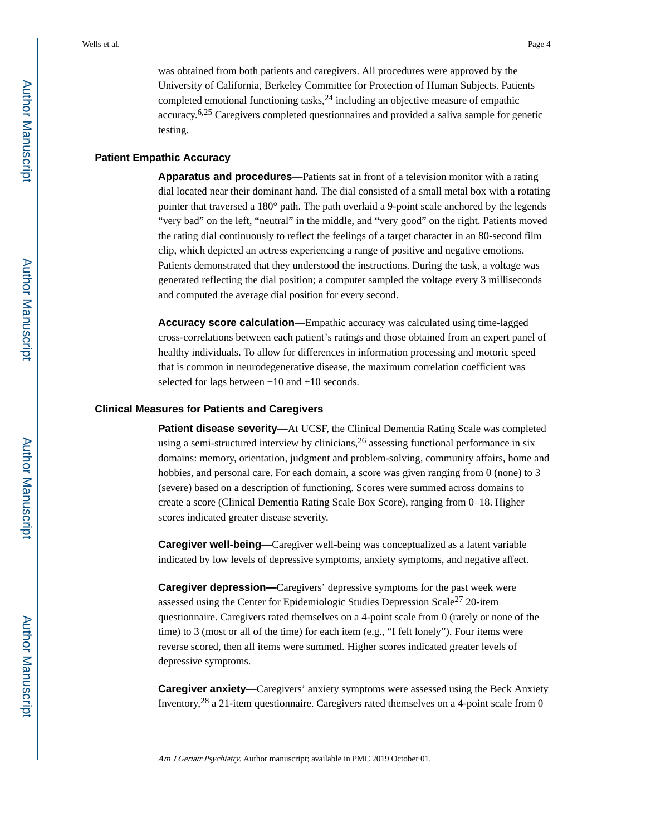was obtained from both patients and caregivers. All procedures were approved by the University of California, Berkeley Committee for Protection of Human Subjects. Patients completed emotional functioning tasks,  $24$  including an objective measure of empathic accuracy.6,25 Caregivers completed questionnaires and provided a saliva sample for genetic testing.

#### **Patient Empathic Accuracy**

**Apparatus and procedures—**Patients sat in front of a television monitor with a rating dial located near their dominant hand. The dial consisted of a small metal box with a rotating pointer that traversed a 180° path. The path overlaid a 9-point scale anchored by the legends "very bad" on the left, "neutral" in the middle, and "very good" on the right. Patients moved the rating dial continuously to reflect the feelings of a target character in an 80-second film clip, which depicted an actress experiencing a range of positive and negative emotions. Patients demonstrated that they understood the instructions. During the task, a voltage was generated reflecting the dial position; a computer sampled the voltage every 3 milliseconds and computed the average dial position for every second.

**Accuracy score calculation—**Empathic accuracy was calculated using time-lagged cross-correlations between each patient's ratings and those obtained from an expert panel of healthy individuals. To allow for differences in information processing and motoric speed that is common in neurodegenerative disease, the maximum correlation coefficient was selected for lags between −10 and +10 seconds.

#### **Clinical Measures for Patients and Caregivers**

**Patient disease severity—At UCSF, the Clinical Dementia Rating Scale was completed** using a semi-structured interview by clinicians,  $2<sup>6</sup>$  assessing functional performance in six domains: memory, orientation, judgment and problem-solving, community affairs, home and hobbies, and personal care. For each domain, a score was given ranging from 0 (none) to 3 (severe) based on a description of functioning. Scores were summed across domains to create a score (Clinical Dementia Rating Scale Box Score), ranging from 0–18. Higher scores indicated greater disease severity.

**Caregiver well-being—**Caregiver well-being was conceptualized as a latent variable indicated by low levels of depressive symptoms, anxiety symptoms, and negative affect.

**Caregiver depression—**Caregivers' depressive symptoms for the past week were assessed using the Center for Epidemiologic Studies Depression Scale<sup>27</sup> 20-item questionnaire. Caregivers rated themselves on a 4-point scale from 0 (rarely or none of the time) to 3 (most or all of the time) for each item (e.g., "I felt lonely"). Four items were reverse scored, then all items were summed. Higher scores indicated greater levels of depressive symptoms.

**Caregiver anxiety—**Caregivers' anxiety symptoms were assessed using the Beck Anxiety Inventory,28 a 21-item questionnaire. Caregivers rated themselves on a 4-point scale from 0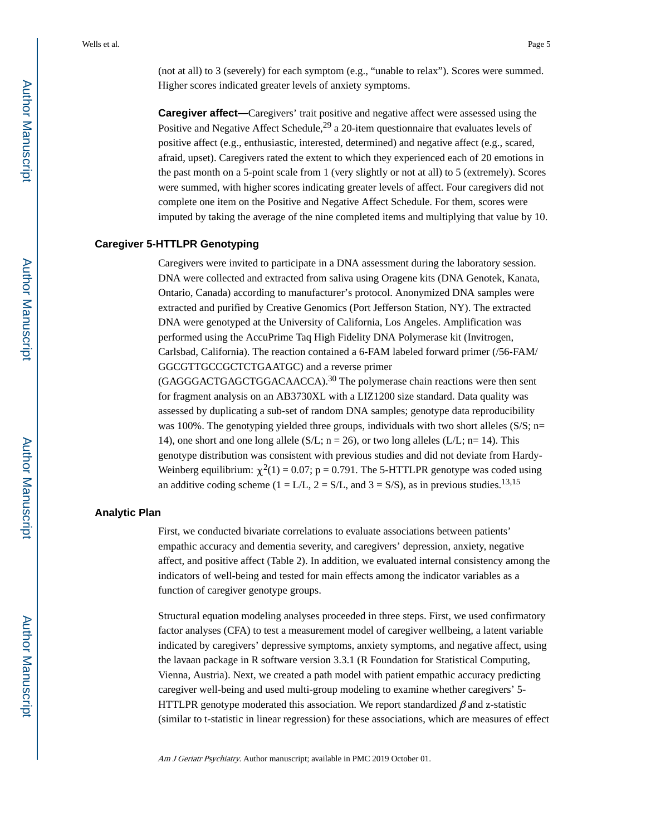(not at all) to 3 (severely) for each symptom (e.g., "unable to relax"). Scores were summed. Higher scores indicated greater levels of anxiety symptoms.

**Caregiver affect—**Caregivers' trait positive and negative affect were assessed using the Positive and Negative Affect Schedule,  $^{29}$  a 20-item questionnaire that evaluates levels of positive affect (e.g., enthusiastic, interested, determined) and negative affect (e.g., scared, afraid, upset). Caregivers rated the extent to which they experienced each of 20 emotions in the past month on a 5-point scale from 1 (very slightly or not at all) to 5 (extremely). Scores were summed, with higher scores indicating greater levels of affect. Four caregivers did not complete one item on the Positive and Negative Affect Schedule. For them, scores were imputed by taking the average of the nine completed items and multiplying that value by 10.

#### **Caregiver 5-HTTLPR Genotyping**

Caregivers were invited to participate in a DNA assessment during the laboratory session. DNA were collected and extracted from saliva using Oragene kits (DNA Genotek, Kanata, Ontario, Canada) according to manufacturer's protocol. Anonymized DNA samples were extracted and purified by Creative Genomics (Port Jefferson Station, NY). The extracted DNA were genotyped at the University of California, Los Angeles. Amplification was performed using the AccuPrime Taq High Fidelity DNA Polymerase kit (Invitrogen, Carlsbad, California). The reaction contained a 6-FAM labeled forward primer (/56-FAM/ GGCGTTGCCGCTCTGAATGC) and a reverse primer

(GAGGGACTGAGCTGGACAACCA).30 The polymerase chain reactions were then sent for fragment analysis on an AB3730XL with a LIZ1200 size standard. Data quality was assessed by duplicating a sub-set of random DNA samples; genotype data reproducibility was 100%. The genotyping yielded three groups, individuals with two short alleles  $(S/S; n=$ 14), one short and one long allele (S/L;  $n = 26$ ), or two long alleles (L/L;  $n = 14$ ). This genotype distribution was consistent with previous studies and did not deviate from Hardy-Weinberg equilibrium:  $\chi^2(1) = 0.07$ ; p = 0.791. The 5-HTTLPR genotype was coded using an additive coding scheme ( $1 = L/L$ ,  $2 = S/L$ , and  $3 = S/S$ ), as in previous studies.<sup>13,15</sup>

#### **Analytic Plan**

First, we conducted bivariate correlations to evaluate associations between patients' empathic accuracy and dementia severity, and caregivers' depression, anxiety, negative affect, and positive affect (Table 2). In addition, we evaluated internal consistency among the indicators of well-being and tested for main effects among the indicator variables as a function of caregiver genotype groups.

Structural equation modeling analyses proceeded in three steps. First, we used confirmatory factor analyses (CFA) to test a measurement model of caregiver wellbeing, a latent variable indicated by caregivers' depressive symptoms, anxiety symptoms, and negative affect, using the lavaan package in R software version 3.3.1 (R Foundation for Statistical Computing, Vienna, Austria). Next, we created a path model with patient empathic accuracy predicting caregiver well-being and used multi-group modeling to examine whether caregivers' 5- HTTLPR genotype moderated this association. We report standardized  $\beta$  and z-statistic (similar to t-statistic in linear regression) for these associations, which are measures of effect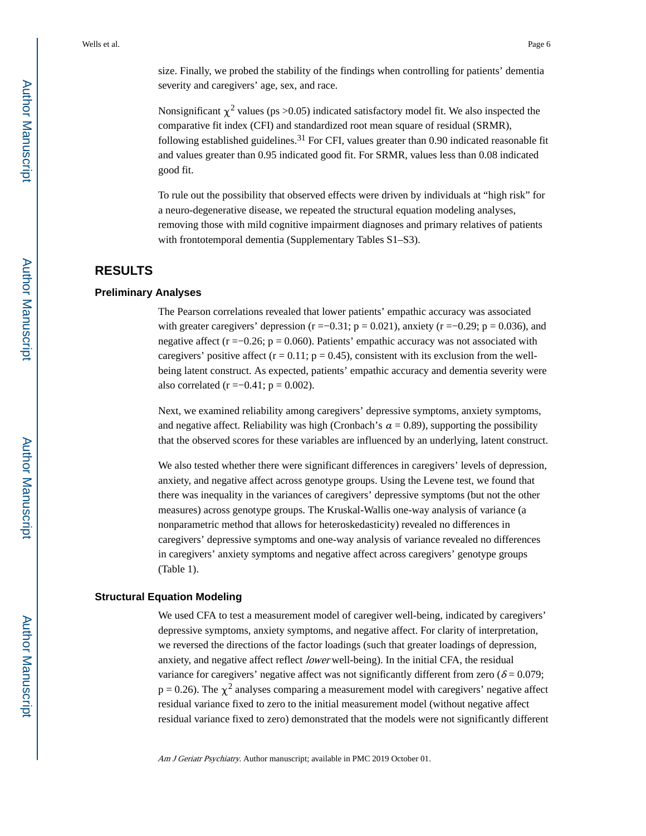size. Finally, we probed the stability of the findings when controlling for patients' dementia severity and caregivers' age, sex, and race.

Nonsignificant  $\chi^2$  values (ps > 0.05) indicated satisfactory model fit. We also inspected the comparative fit index (CFI) and standardized root mean square of residual (SRMR), following established guidelines.<sup>31</sup> For CFI, values greater than 0.90 indicated reasonable fit and values greater than 0.95 indicated good fit. For SRMR, values less than 0.08 indicated good fit.

To rule out the possibility that observed effects were driven by individuals at "high risk" for a neuro-degenerative disease, we repeated the structural equation modeling analyses, removing those with mild cognitive impairment diagnoses and primary relatives of patients with frontotemporal dementia (Supplementary Tables S1–S3).

# **RESULTS**

#### **Preliminary Analyses**

The Pearson correlations revealed that lower patients' empathic accuracy was associated with greater caregivers' depression ( $r = -0.31$ ;  $p = 0.021$ ), anxiety ( $r = -0.29$ ;  $p = 0.036$ ), and negative affect ( $r = -0.26$ ;  $p = 0.060$ ). Patients' empathic accuracy was not associated with caregivers' positive affect ( $r = 0.11$ ;  $p = 0.45$ ), consistent with its exclusion from the wellbeing latent construct. As expected, patients' empathic accuracy and dementia severity were also correlated ( $r = -0.41$ ;  $p = 0.002$ ).

Next, we examined reliability among caregivers' depressive symptoms, anxiety symptoms, and negative affect. Reliability was high (Cronbach's  $a = 0.89$ ), supporting the possibility that the observed scores for these variables are influenced by an underlying, latent construct.

We also tested whether there were significant differences in caregivers' levels of depression, anxiety, and negative affect across genotype groups. Using the Levene test, we found that there was inequality in the variances of caregivers' depressive symptoms (but not the other measures) across genotype groups. The Kruskal-Wallis one-way analysis of variance (a nonparametric method that allows for heteroskedasticity) revealed no differences in caregivers' depressive symptoms and one-way analysis of variance revealed no differences in caregivers' anxiety symptoms and negative affect across caregivers' genotype groups (Table 1).

#### **Structural Equation Modeling**

We used CFA to test a measurement model of caregiver well-being, indicated by caregivers' depressive symptoms, anxiety symptoms, and negative affect. For clarity of interpretation, we reversed the directions of the factor loadings (such that greater loadings of depression, anxiety, and negative affect reflect lower well-being). In the initial CFA, the residual variance for caregivers' negative affect was not significantly different from zero ( $\delta = 0.079$ ;  $p = 0.26$ ). The  $\chi^2$  analyses comparing a measurement model with caregivers' negative affect residual variance fixed to zero to the initial measurement model (without negative affect residual variance fixed to zero) demonstrated that the models were not significantly different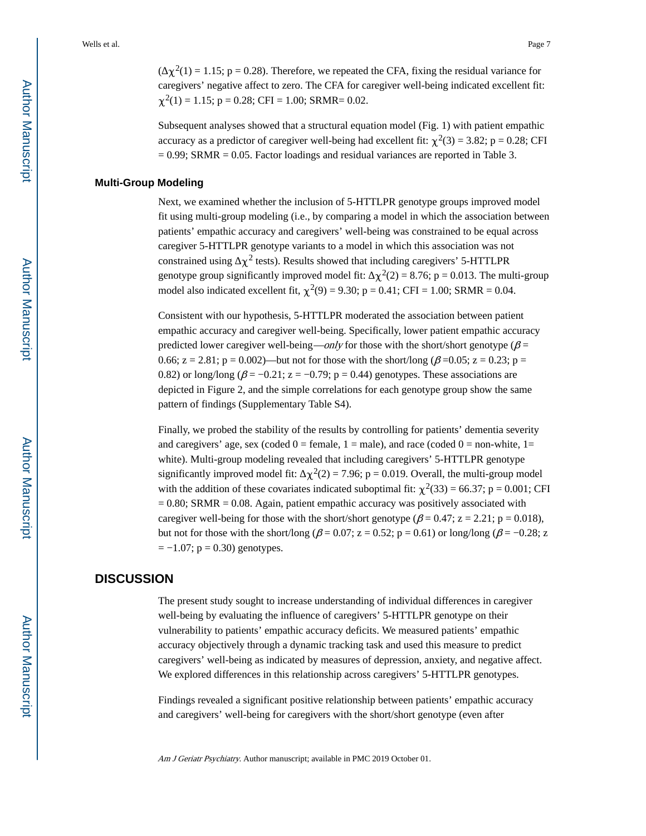$(\gamma^2(1) = 1.15; p = 0.28)$ . Therefore, we repeated the CFA, fixing the residual variance for caregivers' negative affect to zero. The CFA for caregiver well-being indicated excellent fit:  $\chi^2(1) = 1.15$ ; p = 0.28; CFI = 1.00; SRMR= 0.02.

Subsequent analyses showed that a structural equation model (Fig. 1) with patient empathic accuracy as a predictor of caregiver well-being had excellent fit:  $\chi^2(3) = 3.82$ ; p = 0.28; CFI  $= 0.99$ ; SRMR  $= 0.05$ . Factor loadings and residual variances are reported in Table 3.

#### **Multi-Group Modeling**

Next, we examined whether the inclusion of 5-HTTLPR genotype groups improved model fit using multi-group modeling (i.e., by comparing a model in which the association between patients' empathic accuracy and caregivers' well-being was constrained to be equal across caregiver 5-HTTLPR genotype variants to a model in which this association was not constrained using  $\chi^2$  tests). Results showed that including caregivers' 5-HTTLPR genotype group significantly improved model fit:  $\chi^2(2) = 8.76$ ; p = 0.013. The multi-group model also indicated excellent fit,  $\chi^2(9) = 9.30$ ;  $p = 0.41$ ; CFI = 1.00; SRMR = 0.04.

Consistent with our hypothesis, 5-HTTLPR moderated the association between patient empathic accuracy and caregiver well-being. Specifically, lower patient empathic accuracy predicted lower caregiver well-being—only for those with the short/short genotype ( $\beta$  = 0.66; z = 2.81; p = 0.002)—but not for those with the short/long ( $\beta$  =0.05; z = 0.23; p = 0.82) or long/long ( $\beta$  = −0.21; z = −0.79; p = 0.44) genotypes. These associations are depicted in Figure 2, and the simple correlations for each genotype group show the same pattern of findings (Supplementary Table S4).

Finally, we probed the stability of the results by controlling for patients' dementia severity and caregivers' age, sex (coded  $0 =$  female,  $1 =$  male), and race (coded  $0 =$  non-white,  $1 =$ white). Multi-group modeling revealed that including caregivers' 5-HTTLPR genotype significantly improved model fit:  $\chi^2(2) = 7.96$ ; p = 0.019. Overall, the multi-group model with the addition of these covariates indicated suboptimal fit:  $\chi^2(33) = 66.37$ ; p = 0.001; CFI  $= 0.80$ ; SRMR  $= 0.08$ . Again, patient empathic accuracy was positively associated with caregiver well-being for those with the short/short genotype ( $\beta$  = 0.47; z = 2.21; p = 0.018), but not for those with the short/long ( $\beta$  = 0.07; z = 0.52; p = 0.61) or long/long ( $\beta$  = -0.28; z  $= -1.07$ ;  $p = 0.30$ ) genotypes.

# **DISCUSSION**

The present study sought to increase understanding of individual differences in caregiver well-being by evaluating the influence of caregivers' 5-HTTLPR genotype on their vulnerability to patients' empathic accuracy deficits. We measured patients' empathic accuracy objectively through a dynamic tracking task and used this measure to predict caregivers' well-being as indicated by measures of depression, anxiety, and negative affect. We explored differences in this relationship across caregivers' 5-HTTLPR genotypes.

Findings revealed a significant positive relationship between patients' empathic accuracy and caregivers' well-being for caregivers with the short/short genotype (even after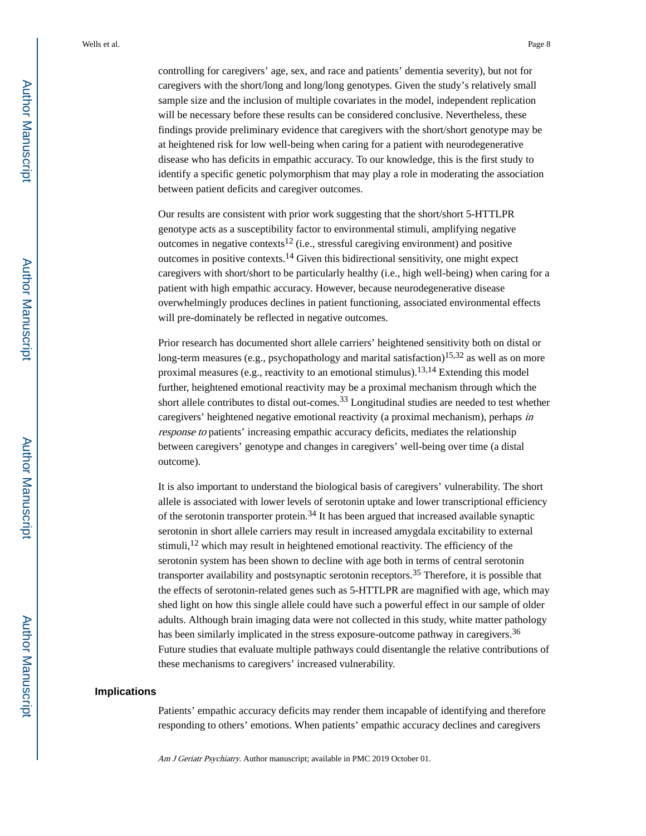controlling for caregivers' age, sex, and race and patients' dementia severity), but not for caregivers with the short/long and long/long genotypes. Given the study's relatively small sample size and the inclusion of multiple covariates in the model, independent replication will be necessary before these results can be considered conclusive. Nevertheless, these findings provide preliminary evidence that caregivers with the short/short genotype may be at heightened risk for low well-being when caring for a patient with neurodegenerative disease who has deficits in empathic accuracy. To our knowledge, this is the first study to identify a specific genetic polymorphism that may play a role in moderating the association between patient deficits and caregiver outcomes.

Our results are consistent with prior work suggesting that the short/short 5-HTTLPR genotype acts as a susceptibility factor to environmental stimuli, amplifying negative outcomes in negative contexts<sup>12</sup> (i.e., stressful caregiving environment) and positive outcomes in positive contexts.14 Given this bidirectional sensitivity, one might expect caregivers with short/short to be particularly healthy (i.e., high well-being) when caring for a patient with high empathic accuracy. However, because neurodegenerative disease overwhelmingly produces declines in patient functioning, associated environmental effects will pre-dominately be reflected in negative outcomes.

Prior research has documented short allele carriers' heightened sensitivity both on distal or long-term measures (e.g., psychopathology and marital satisfaction)<sup>15,32</sup> as well as on more proximal measures (e.g., reactivity to an emotional stimulus).13,14 Extending this model further, heightened emotional reactivity may be a proximal mechanism through which the short allele contributes to distal out-comes.<sup>33</sup> Longitudinal studies are needed to test whether caregivers' heightened negative emotional reactivity (a proximal mechanism), perhaps in response to patients' increasing empathic accuracy deficits, mediates the relationship between caregivers' genotype and changes in caregivers' well-being over time (a distal outcome).

It is also important to understand the biological basis of caregivers' vulnerability. The short allele is associated with lower levels of serotonin uptake and lower transcriptional efficiency of the serotonin transporter protein.<sup>34</sup> It has been argued that increased available synaptic serotonin in short allele carriers may result in increased amygdala excitability to external stimuli,<sup>12</sup> which may result in heightened emotional reactivity. The efficiency of the serotonin system has been shown to decline with age both in terms of central serotonin transporter availability and postsynaptic serotonin receptors.35 Therefore, it is possible that the effects of serotonin-related genes such as 5-HTTLPR are magnified with age, which may shed light on how this single allele could have such a powerful effect in our sample of older adults. Although brain imaging data were not collected in this study, white matter pathology has been similarly implicated in the stress exposure-outcome pathway in caregivers.<sup>36</sup> Future studies that evaluate multiple pathways could disentangle the relative contributions of these mechanisms to caregivers' increased vulnerability.

#### **Implications**

Patients' empathic accuracy deficits may render them incapable of identifying and therefore responding to others' emotions. When patients' empathic accuracy declines and caregivers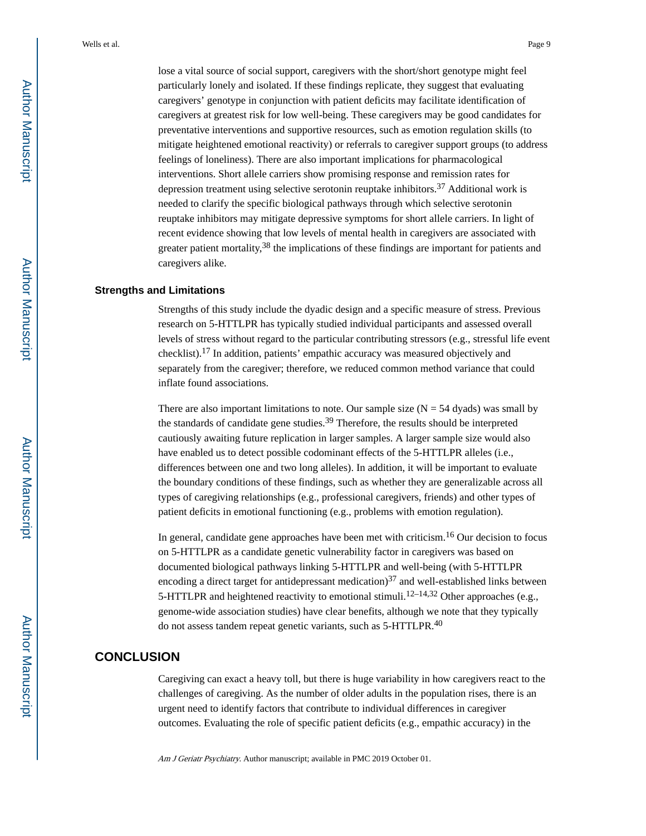lose a vital source of social support, caregivers with the short/short genotype might feel particularly lonely and isolated. If these findings replicate, they suggest that evaluating caregivers' genotype in conjunction with patient deficits may facilitate identification of caregivers at greatest risk for low well-being. These caregivers may be good candidates for preventative interventions and supportive resources, such as emotion regulation skills (to mitigate heightened emotional reactivity) or referrals to caregiver support groups (to address feelings of loneliness). There are also important implications for pharmacological interventions. Short allele carriers show promising response and remission rates for depression treatment using selective serotonin reuptake inhibitors.37 Additional work is needed to clarify the specific biological pathways through which selective serotonin reuptake inhibitors may mitigate depressive symptoms for short allele carriers. In light of recent evidence showing that low levels of mental health in caregivers are associated with greater patient mortality,  $38$  the implications of these findings are important for patients and caregivers alike.

#### **Strengths and Limitations**

Strengths of this study include the dyadic design and a specific measure of stress. Previous research on 5-HTTLPR has typically studied individual participants and assessed overall levels of stress without regard to the particular contributing stressors (e.g., stressful life event checklist).17 In addition, patients' empathic accuracy was measured objectively and separately from the caregiver; therefore, we reduced common method variance that could inflate found associations.

There are also important limitations to note. Our sample size  $(N = 54$  dyads) was small by the standards of candidate gene studies.39 Therefore, the results should be interpreted cautiously awaiting future replication in larger samples. A larger sample size would also have enabled us to detect possible codominant effects of the 5-HTTLPR alleles (i.e., differences between one and two long alleles). In addition, it will be important to evaluate the boundary conditions of these findings, such as whether they are generalizable across all types of caregiving relationships (e.g., professional caregivers, friends) and other types of patient deficits in emotional functioning (e.g., problems with emotion regulation).

In general, candidate gene approaches have been met with criticism.16 Our decision to focus on 5-HTTLPR as a candidate genetic vulnerability factor in caregivers was based on documented biological pathways linking 5-HTTLPR and well-being (with 5-HTTLPR encoding a direct target for antidepressant medication) $37$  and well-established links between 5-HTTLPR and heightened reactivity to emotional stimuli.<sup>12–14,32</sup> Other approaches (e.g., genome-wide association studies) have clear benefits, although we note that they typically do not assess tandem repeat genetic variants, such as 5-HTTLPR.<sup>40</sup>

# **CONCLUSION**

Caregiving can exact a heavy toll, but there is huge variability in how caregivers react to the challenges of caregiving. As the number of older adults in the population rises, there is an urgent need to identify factors that contribute to individual differences in caregiver outcomes. Evaluating the role of specific patient deficits (e.g., empathic accuracy) in the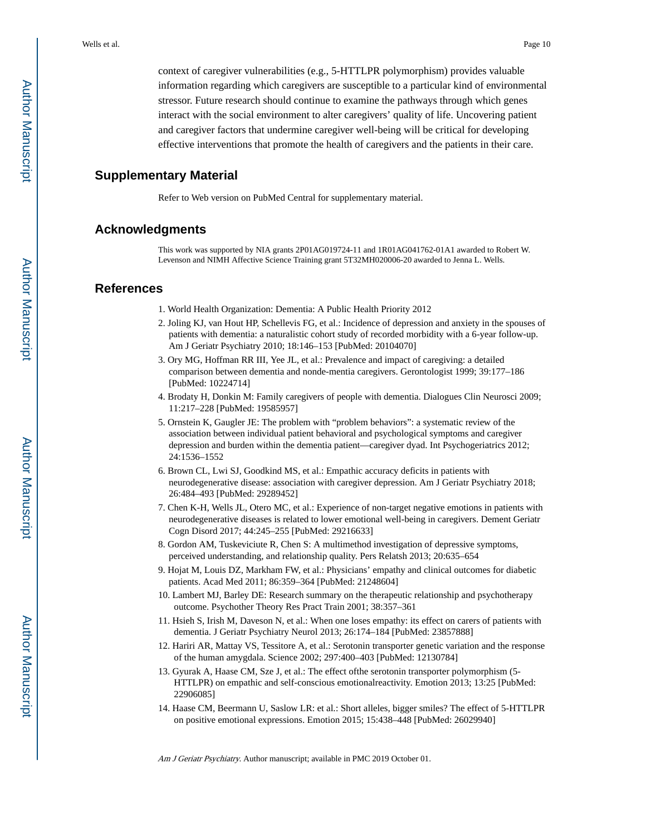context of caregiver vulnerabilities (e.g., 5-HTTLPR polymorphism) provides valuable information regarding which caregivers are susceptible to a particular kind of environmental stressor. Future research should continue to examine the pathways through which genes interact with the social environment to alter caregivers' quality of life. Uncovering patient and caregiver factors that undermine caregiver well-being will be critical for developing effective interventions that promote the health of caregivers and the patients in their care.

# **Supplementary Material**

Refer to Web version on PubMed Central for supplementary material.

### **Acknowledgments**

This work was supported by NIA grants 2P01AG019724-11 and 1R01AG041762-01A1 awarded to Robert W. Levenson and NIMH Affective Science Training grant 5T32MH020006-20 awarded to Jenna L. Wells.

#### **References**

- 1. World Health Organization: Dementia: A Public Health Priority 2012
- 2. Joling KJ, van Hout HP, Schellevis FG, et al.: Incidence of depression and anxiety in the spouses of patients with dementia: a naturalistic cohort study of recorded morbidity with a 6-year follow-up. Am J Geriatr Psychiatry 2010; 18:146–153 [PubMed: 20104070]
- 3. Ory MG, Hoffman RR III, Yee JL, et al.: Prevalence and impact of caregiving: a detailed comparison between dementia and nonde-mentia caregivers. Gerontologist 1999; 39:177–186 [PubMed: 10224714]
- 4. Brodaty H, Donkin M: Family caregivers of people with dementia. Dialogues Clin Neurosci 2009; 11:217–228 [PubMed: 19585957]
- 5. Ornstein K, Gaugler JE: The problem with "problem behaviors": a systematic review of the association between individual patient behavioral and psychological symptoms and caregiver depression and burden within the dementia patient—caregiver dyad. Int Psychogeriatrics 2012; 24:1536–1552
- 6. Brown CL, Lwi SJ, Goodkind MS, et al.: Empathic accuracy deficits in patients with neurodegenerative disease: association with caregiver depression. Am J Geriatr Psychiatry 2018; 26:484–493 [PubMed: 29289452]
- 7. Chen K-H, Wells JL, Otero MC, et al.: Experience of non-target negative emotions in patients with neurodegenerative diseases is related to lower emotional well-being in caregivers. Dement Geriatr Cogn Disord 2017; 44:245–255 [PubMed: 29216633]
- 8. Gordon AM, Tuskeviciute R, Chen S: A multimethod investigation of depressive symptoms, perceived understanding, and relationship quality. Pers Relatsh 2013; 20:635–654
- 9. Hojat M, Louis DZ, Markham FW, et al.: Physicians' empathy and clinical outcomes for diabetic patients. Acad Med 2011; 86:359–364 [PubMed: 21248604]
- 10. Lambert MJ, Barley DE: Research summary on the therapeutic relationship and psychotherapy outcome. Psychother Theory Res Pract Train 2001; 38:357–361
- 11. Hsieh S, Irish M, Daveson N, et al.: When one loses empathy: its effect on carers of patients with dementia. J Geriatr Psychiatry Neurol 2013; 26:174–184 [PubMed: 23857888]
- 12. Hariri AR, Mattay VS, Tessitore A, et al.: Serotonin transporter genetic variation and the response of the human amygdala. Science 2002; 297:400–403 [PubMed: 12130784]
- 13. Gyurak A, Haase CM, Sze J, et al.: The effect ofthe serotonin transporter polymorphism (5- HTTLPR) on empathic and self-conscious emotionalreactivity. Emotion 2013; 13:25 [PubMed: 22906085]
- 14. Haase CM, Beermann U, Saslow LR: et al.: Short alleles, bigger smiles? The effect of 5-HTTLPR on positive emotional expressions. Emotion 2015; 15:438–448 [PubMed: 26029940]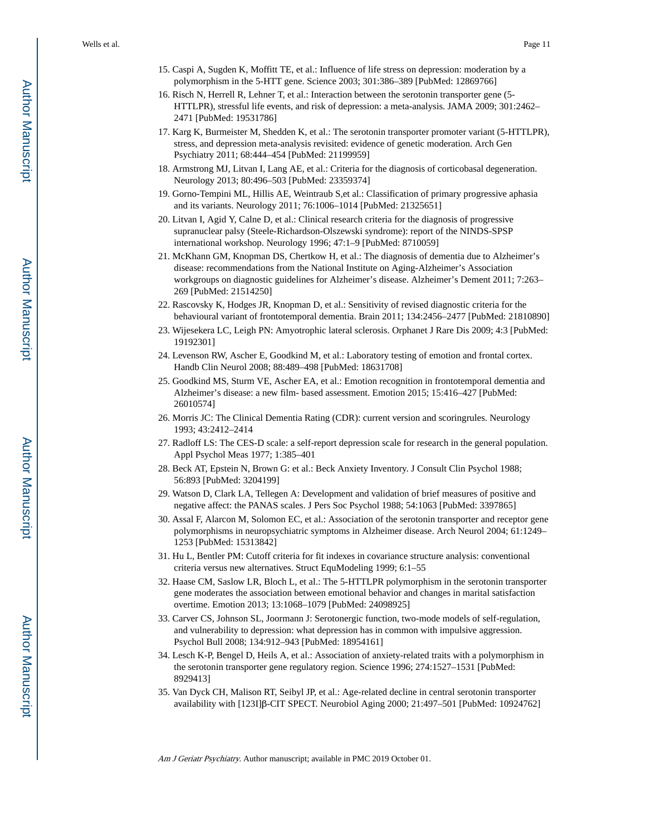- 15. Caspi A, Sugden K, Moffitt TE, et al.: Influence of life stress on depression: moderation by a polymorphism in the 5-HTT gene. Science 2003; 301:386–389 [PubMed: 12869766]
- 16. Risch N, Herrell R, Lehner T, et al.: Interaction between the serotonin transporter gene (5- HTTLPR), stressful life events, and risk of depression: a meta-analysis. JAMA 2009; 301:2462– 2471 [PubMed: 19531786]
- 17. Karg K, Burmeister M, Shedden K, et al.: The serotonin transporter promoter variant (5-HTTLPR), stress, and depression meta-analysis revisited: evidence of genetic moderation. Arch Gen Psychiatry 2011; 68:444–454 [PubMed: 21199959]
- 18. Armstrong MJ, Litvan I, Lang AE, et al.: Criteria for the diagnosis of corticobasal degeneration. Neurology 2013; 80:496–503 [PubMed: 23359374]
- 19. Gorno-Tempini ML, Hillis AE, Weintraub S,et al.: Classification of primary progressive aphasia and its variants. Neurology 2011; 76:1006–1014 [PubMed: 21325651]
- 20. Litvan I, Agid Y, Calne D, et al.: Clinical research criteria for the diagnosis of progressive supranuclear palsy (Steele-Richardson-Olszewski syndrome): report of the NINDS-SPSP international workshop. Neurology 1996; 47:1–9 [PubMed: 8710059]
- 21. McKhann GM, Knopman DS, Chertkow H, et al.: The diagnosis of dementia due to Alzheimer's disease: recommendations from the National Institute on Aging-Alzheimer's Association workgroups on diagnostic guidelines for Alzheimer's disease. Alzheimer's Dement 2011; 7:263– 269 [PubMed: 21514250]
- 22. Rascovsky K, Hodges JR, Knopman D, et al.: Sensitivity of revised diagnostic criteria for the behavioural variant of frontotemporal dementia. Brain 2011; 134:2456–2477 [PubMed: 21810890]
- 23. Wijesekera LC, Leigh PN: Amyotrophic lateral sclerosis. Orphanet J Rare Dis 2009; 4:3 [PubMed: 19192301]
- 24. Levenson RW, Ascher E, Goodkind M, et al.: Laboratory testing of emotion and frontal cortex. Handb Clin Neurol 2008; 88:489–498 [PubMed: 18631708]
- 25. Goodkind MS, Sturm VE, Ascher EA, et al.: Emotion recognition in frontotemporal dementia and Alzheimer's disease: a new film- based assessment. Emotion 2015; 15:416–427 [PubMed: 26010574]
- 26. Morris JC: The Clinical Dementia Rating (CDR): current version and scoringrules. Neurology 1993; 43:2412–2414
- 27. Radloff LS: The CES-D scale: a self-report depression scale for research in the general population. Appl Psychol Meas 1977; 1:385–401
- 28. Beck AT, Epstein N, Brown G: et al.: Beck Anxiety Inventory. J Consult Clin Psychol 1988; 56:893 [PubMed: 3204199]
- 29. Watson D, Clark LA, Tellegen A: Development and validation of brief measures of positive and negative affect: the PANAS scales. J Pers Soc Psychol 1988; 54:1063 [PubMed: 3397865]
- 30. Assal F, Alarcon M, Solomon EC, et al.: Association of the serotonin transporter and receptor gene polymorphisms in neuropsychiatric symptoms in Alzheimer disease. Arch Neurol 2004; 61:1249– 1253 [PubMed: 15313842]
- 31. Hu L, Bentler PM: Cutoff criteria for fit indexes in covariance structure analysis: conventional criteria versus new alternatives. Struct EquModeling 1999; 6:1–55
- 32. Haase CM, Saslow LR, Bloch L, et al.: The 5-HTTLPR polymorphism in the serotonin transporter gene moderates the association between emotional behavior and changes in marital satisfaction overtime. Emotion 2013; 13:1068–1079 [PubMed: 24098925]
- 33. Carver CS, Johnson SL, Joormann J: Serotonergic function, two-mode models of self-regulation, and vulnerability to depression: what depression has in common with impulsive aggression. Psychol Bull 2008; 134:912–943 [PubMed: 18954161]
- 34. Lesch K-P, Bengel D, Heils A, et al.: Association of anxiety-related traits with a polymorphism in the serotonin transporter gene regulatory region. Science 1996; 274:1527–1531 [PubMed: 8929413]
- 35. Van Dyck CH, Malison RT, Seibyl JP, et al.: Age-related decline in central serotonin transporter availability with [123I]β-CIT SPECT. Neurobiol Aging 2000; 21:497–501 [PubMed: 10924762]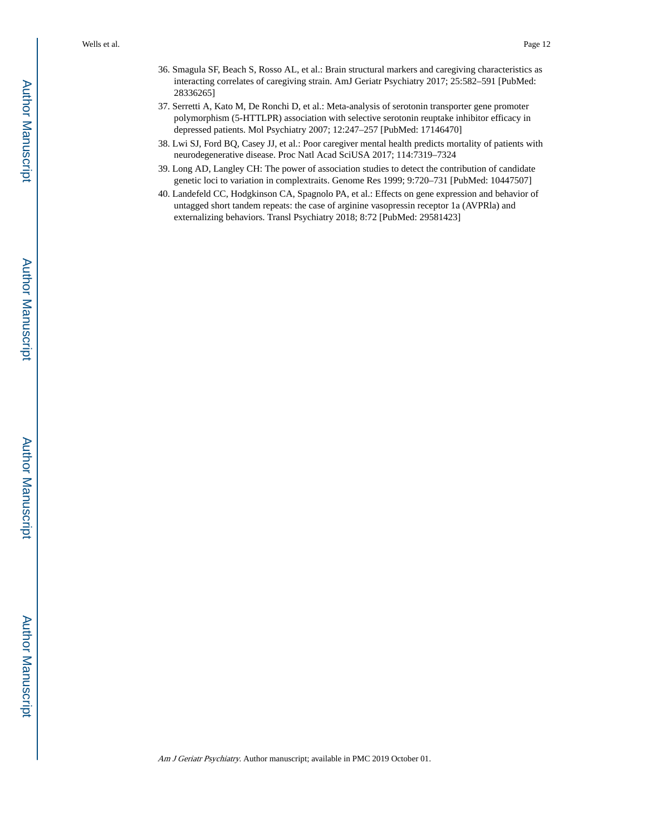- 36. Smagula SF, Beach S, Rosso AL, et al.: Brain structural markers and caregiving characteristics as interacting correlates of caregiving strain. AmJ Geriatr Psychiatry 2017; 25:582–591 [PubMed: 28336265]
- 37. Serretti A, Kato M, De Ronchi D, et al.: Meta-analysis of serotonin transporter gene promoter polymorphism (5-HTTLPR) association with selective serotonin reuptake inhibitor efficacy in depressed patients. Mol Psychiatry 2007; 12:247–257 [PubMed: 17146470]
- 38. Lwi SJ, Ford BQ, Casey JJ, et al.: Poor caregiver mental health predicts mortality of patients with neurodegenerative disease. Proc Natl Acad SciUSA 2017; 114:7319–7324
- 39. Long AD, Langley CH: The power of association studies to detect the contribution of candidate genetic loci to variation in complextraits. Genome Res 1999; 9:720–731 [PubMed: 10447507]
- 40. Landefeld CC, Hodgkinson CA, Spagnolo PA, et al.: Effects on gene expression and behavior of untagged short tandem repeats: the case of arginine vasopressin receptor 1a (AVPRla) and externalizing behaviors. Transl Psychiatry 2018; 8:72 [PubMed: 29581423]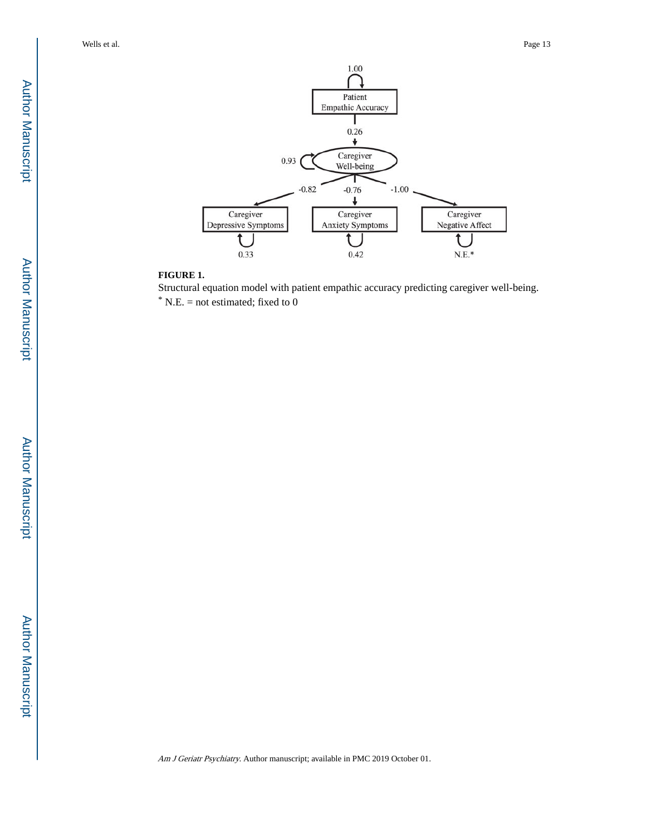

## **FIGURE 1.**

Structural equation model with patient empathic accuracy predicting caregiver well-being.  $*$  N.E. = not estimated; fixed to 0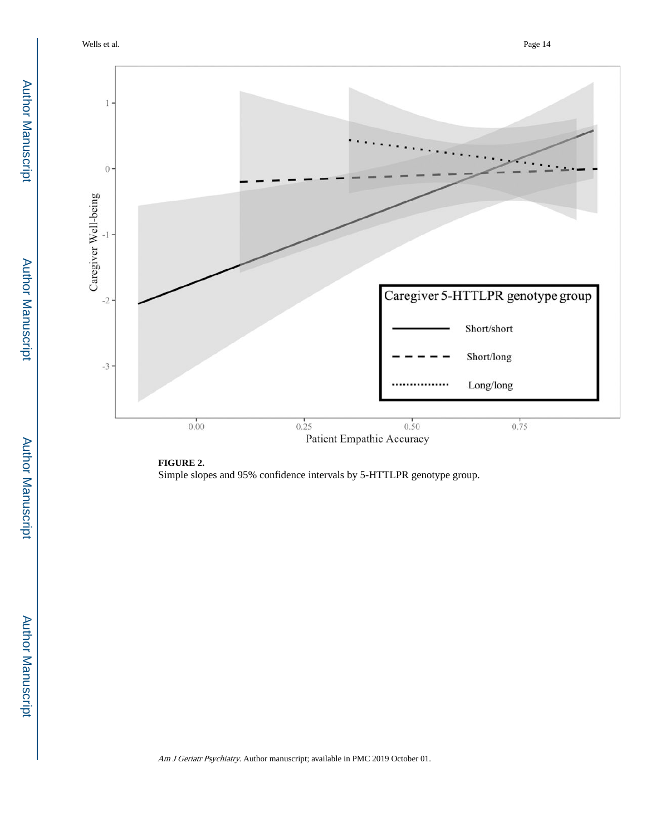Wells et al. Page 14



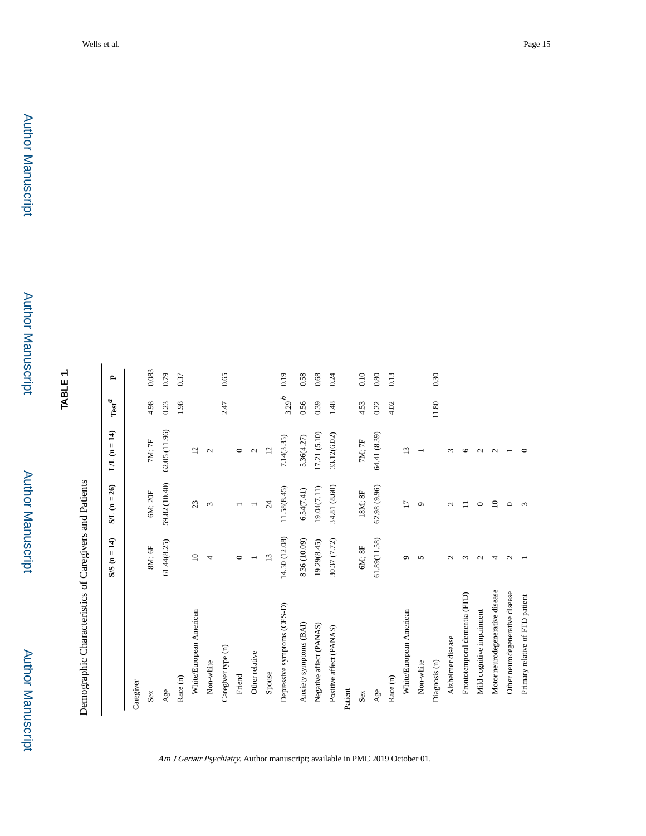**TABLE 1.**

Demographic Characteristics of Caregivers and Patients Demographic Characteristics of Caregivers and Patients

|                                 | $S/S (n = 14)$  | $SL(n=26)$        | $LL(n=14)$      | $\operatorname{Test}^{\mathcal{A}}$ | $\mathbf{r}$ |
|---------------------------------|-----------------|-------------------|-----------------|-------------------------------------|--------------|
| Caregiver                       |                 |                   |                 |                                     |              |
| Sex                             | 8M; 6F          | 6M; 20F           | 7M; 7F          | 4.98                                | 0.083        |
| Age                             | 61.44(8.25)     | 59.82 (10.40)     | 62.05(11.96)    | 0.23                                | 0.79         |
| Race (n)                        |                 |                   |                 | 1.98                                | 0.37         |
| White/European American         | $\supseteq$     | 23                | 12              |                                     |              |
| Non-white                       | 4               | 3                 | $\mathbf{C}$    |                                     |              |
| Caregiver type (n)              |                 |                   |                 | 2.47                                | 0.65         |
| Friend                          | $\circ$         |                   | $\circ$         |                                     |              |
| Other relative                  |                 |                   | $\mathbf{C}$    |                                     |              |
| Spouse                          | 13              | $\overline{c}$    | $\overline{c}$  |                                     |              |
| Depressive symptoms (CES-D)     | 14.50 (12.08)   | 11.58(8.45)       | 7.14(3.35)      | $3.29^b$                            | 0.19         |
| Anxiety symptoms (BAI)          | 8.36 (10.09)    | 6.54(7.41)        | 5.36(4.27)      | 0.56                                | 0.58         |
| Negative affect (PANAS)         | 19.29(8.45)     | 19.04(7.11)       | 17.21 (5.10)    | 0.39                                | 0.68         |
| Positive affect (PANAS)         | 30.37 (7.72)    | 34.81 (8.60)      | 33.12(6.02)     | 1.48                                | 0.24         |
| Patient                         |                 |                   |                 |                                     |              |
| Sex                             | $6M;8F$         | 18M; 8F           | $7M;7F$         | 4.53                                | 0.10         |
| Age                             | 61.89(11.58)    | 62.98(9.96)       | 64.41 (8.39)    | 0.22                                | 0.80         |
| Race (n)                        |                 |                   |                 | 4.02                                | 0.13         |
| White/European American         | G               | $\overline{17}$   | $\overline{13}$ |                                     |              |
| Non-white                       | 5               | $\circ$           |                 |                                     |              |
| Diagnosis (n)                   |                 |                   |                 | 11.80                               | 0.30         |
| Alzheimer disease               | $\mathbf{\sim}$ | $\mathbf{\Omega}$ | $\sim$          |                                     |              |
| Frontotemporal dementia (FTD)   | $\sim$          | $\equiv$          | ७               |                                     |              |
| Mild cognitive impairment       | $\mathbf{\sim}$ | $\circ$           | $\mathbf{\sim}$ |                                     |              |
| Motor neurodegenerative disease | 4               | $\overline{10}$   | $\mathbf{\sim}$ |                                     |              |
| Other neurodegenerative disease | $\mathbf{\sim}$ | $\circ$           |                 |                                     |              |
| Primary relative of FTD patient |                 | 3                 |                 |                                     |              |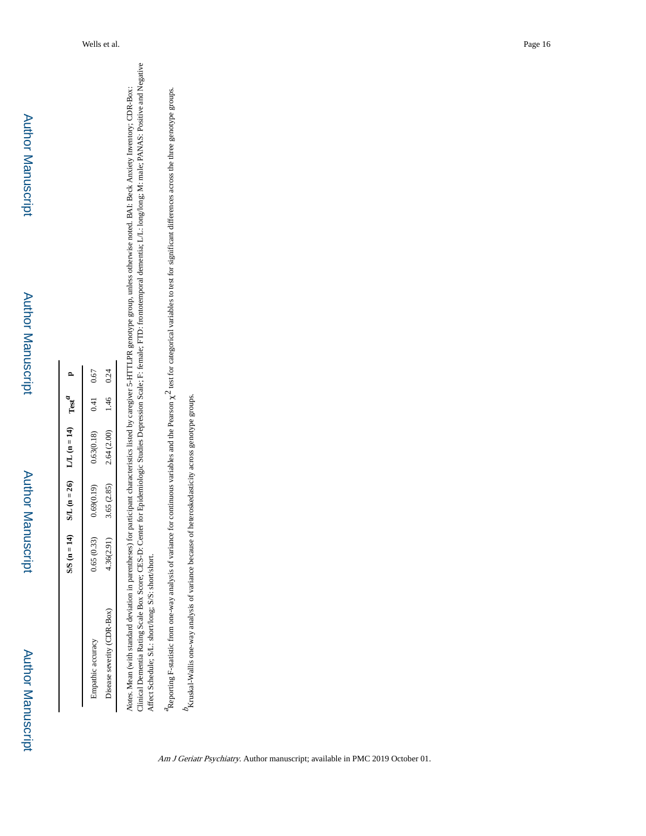|                            | $S/S (n = 14)$ | $SL(n=26)$ | $L/L (n = 14)$ $Testa$ |               |      |
|----------------------------|----------------|------------|------------------------|---------------|------|
| impathic accuracy          | 0.65(0.33)     | 0.69(0.19) | 0.63(0.18)             | $0.41$ $0.67$ |      |
| Disease severity (CDR-Box) | 4.36(2.91)     | 3.65(2.85) | 2.64(2.00)             | 1.46          | 0.24 |
|                            |                |            |                        |               |      |

Clinical Dementia Rating Scale Box Score; CES-D: Center for Epidemiologic Studies Depression Scale; F: female; FTD: frontotemporal dementia; L/L: long/long; M: male; PANAS: Positive and Negative Clinical Dementia Rating Scale Box Score; CES-D: Center for Epidemiologic Studies Depression Scale; F: female; FTD: frontotemporal dementia; L/L: long/long; M: male; PANAS: Positive and Negative Notes. Mean (with standard deviation in parentheses) for participant characteristics listed by caregiver 5-HTTLPR genotype group, unless otherwise noted. BAI: Beck Anxiety Inventory; CDR-Box: Notes. Mean (with standard deviation in parentheses) for participant characteristics listed by caregiver 5-HTTLPR genotype group, unless otherwise noted. BAI: Beck Anxiety Inventory; CDR-Box: Affect Schedule; S/L: short/long; S/S: short/short. Affect Schedule; S/L: short/long; S/S: short/short.

Reporting F-statistic from one-way analysis of variance for continuous variables and the Pearson  $\chi^2$  test for categorical variables to test for significant differences across the three genotype groups. Reporting F-statistic from one-way analysis of variance for continuous variables and the Pearson χ2 test for categorical variables to test for significant differences across the three genotype groups.

 $b_{Kruskal-Wallis\;one-way\; analysis\; of\; variance\; because\; of\; heteroskedasticity\; across\; genotypes\; groups.}$ Kruskal-Wallis one-way analysis of variance because of heteroskedasticity across genotype groups.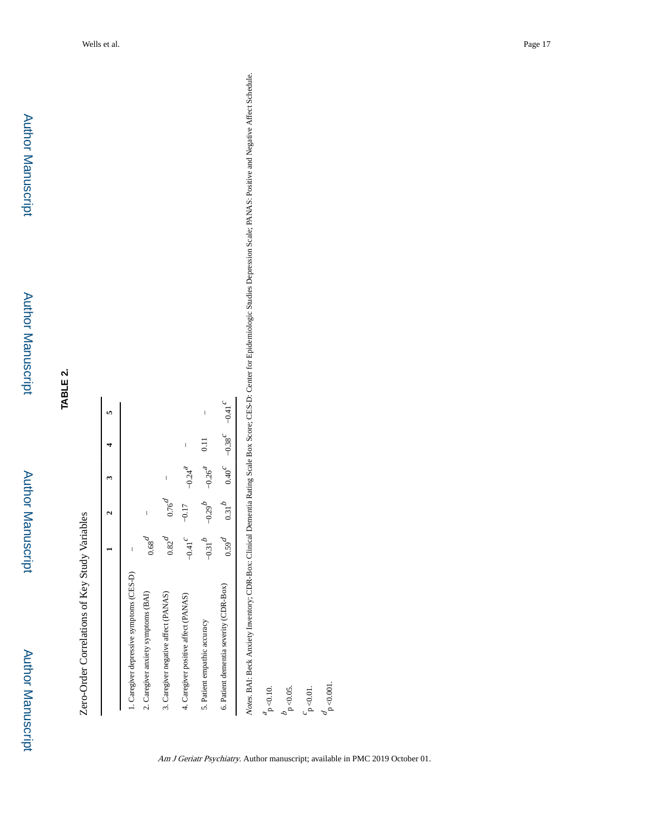Zero-Order Correlations of Key Study Variables Zero-Order Correlations of Key Study Variables

|                                          |                          |                                               |                          |                          | m                        |
|------------------------------------------|--------------------------|-----------------------------------------------|--------------------------|--------------------------|--------------------------|
|                                          |                          |                                               |                          |                          |                          |
| 1. Caregiver depressive symptoms (CES-D) | $\overline{\phantom{a}}$ |                                               |                          |                          |                          |
| 2. Caregiver anxiety symptoms (BAI)      | $\widetilde{\mathrm{6}}$ | $\overline{\phantom{a}}$                      |                          |                          |                          |
| 3. Caregiver negative affect (PANAS)     | $0.82^{\circ}$           | $0.76^{u}$                                    | $\overline{\phantom{a}}$ |                          |                          |
| 4. Caregiver positive affect (PANAS)     | $-0.41$                  | $-0.17$                                       | $-0.24$ <sup>2</sup>     | $\overline{\phantom{a}}$ |                          |
| 5. Patient empathic accuracy             | م<br>$-0.31$             | $-0.29^{D}$                                   | $-0.26^{4}$              | $rac{11}{2}$             | $\overline{\phantom{a}}$ |
| 6. Patient dementia severity (CDR-Box)   | $\rho^{6S0}$             | $0.31^{b}$ $0.40^{c}$ $-0.38^{c}$ $-0.41^{c}$ |                          |                          |                          |

 $\frac{d}{p}$  <0.001.